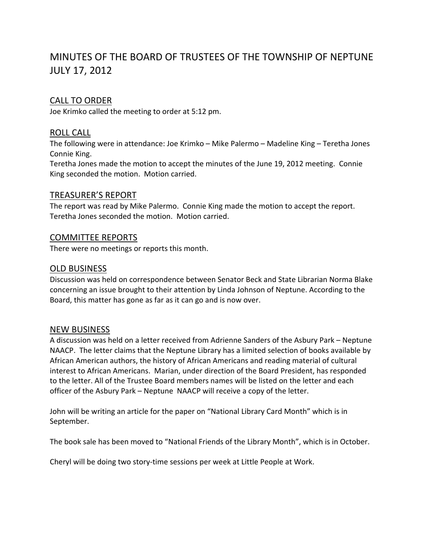# MINUTES OF THE BOARD OF TRUSTEES OF THE TOWNSHIP OF NEPTUNE JULY 17, 2012

## CALL TO ORDER

Joe Krimko called the meeting to order at 5:12 pm.

## ROLL CALL

The following were in attendance: Joe Krimko – Mike Palermo – Madeline King – Teretha Jones Connie King.

Teretha Jones made the motion to accept the minutes of the June 19, 2012 meeting. Connie King seconded the motion. Motion carried.

### TREASURER'S REPORT

The report was read by Mike Palermo. Connie King made the motion to accept the report. Teretha Jones seconded the motion. Motion carried.

### COMMITTEE REPORTS

There were no meetings or reports this month.

#### OLD BUSINESS

Discussion was held on correspondence between Senator Beck and State Librarian Norma Blake concerning an issue brought to their attention by Linda Johnson of Neptune. According to the Board, this matter has gone as far as it can go and is now over.

#### NEW BUSINESS

A discussion was held on a letter received from Adrienne Sanders of the Asbury Park – Neptune NAACP. The letter claims that the Neptune Library has a limited selection of books available by African American authors, the history of African Americans and reading material of cultural interest to African Americans. Marian, under direction of the Board President, has responded to the letter. All of the Trustee Board members names will be listed on the letter and each officer of the Asbury Park – Neptune NAACP will receive a copy of the letter.

John will be writing an article for the paper on "National Library Card Month" which is in September.

The book sale has been moved to "National Friends of the Library Month", which is in October.

Cheryl will be doing two story‐time sessions per week at Little People at Work.